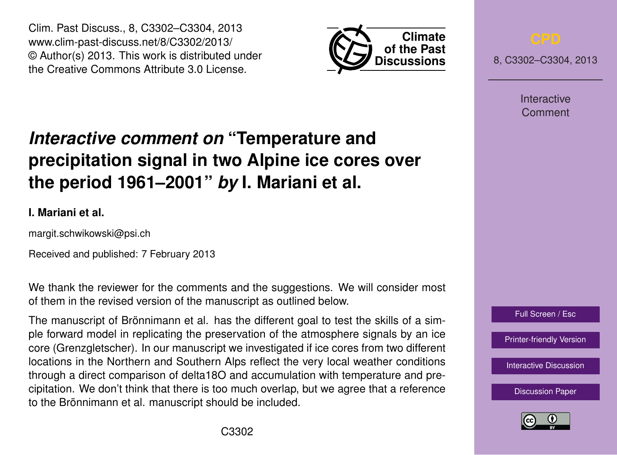Clim. Past Discuss., 8, C3302–C3304, 2013 www.clim-past-discuss.net/8/C3302/2013/ © Author(s) 2013. This work is distributed under the Creative Commons Attribute 3.0 License.



8, C3302–C3304, 2013

Interactive Comment

## *Interactive comment on* **"Temperature and precipitation signal in two Alpine ice cores over the period 1961–2001"** *by* **I. Mariani et al.**

## **I. Mariani et al.**

margit.schwikowski@psi.ch

Received and published: 7 February 2013

We thank the reviewer for the comments and the suggestions. We will consider most of them in the revised version of the manuscript as outlined below.

The manuscript of Brönnimann et al. has the different goal to test the skills of a simple forward model in replicating the preservation of the atmosphere signals by an ice core (Grenzgletscher). In our manuscript we investigated if ice cores from two different locations in the Northern and Southern Alps reflect the very local weather conditions through a direct comparison of delta18O and accumulation with temperature and precipitation. We don't think that there is too much overlap, but we agree that a reference to the Brönnimann et al. manuscript should be included.



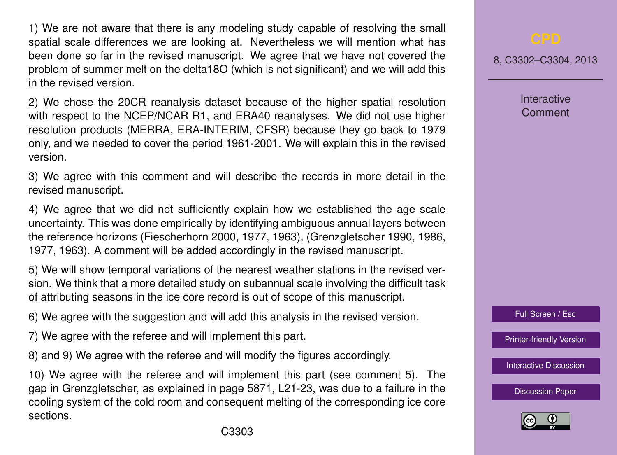1) We are not aware that there is any modeling study capable of resolving the small spatial scale differences we are looking at. Nevertheless we will mention what has been done so far in the revised manuscript. We agree that we have not covered the problem of summer melt on the delta18O (which is not significant) and we will add this in the revised version.

2) We chose the 20CR reanalysis dataset because of the higher spatial resolution with respect to the NCEP/NCAR R1, and ERA40 reanalyses. We did not use higher resolution products (MERRA, ERA-INTERIM, CFSR) because they go back to 1979 only, and we needed to cover the period 1961-2001. We will explain this in the revised version.

3) We agree with this comment and will describe the records in more detail in the revised manuscript.

4) We agree that we did not sufficiently explain how we established the age scale uncertainty. This was done empirically by identifying ambiguous annual layers between the reference horizons (Fiescherhorn 2000, 1977, 1963), (Grenzgletscher 1990, 1986, 1977, 1963). A comment will be added accordingly in the revised manuscript.

5) We will show temporal variations of the nearest weather stations in the revised version. We think that a more detailed study on subannual scale involving the difficult task of attributing seasons in the ice core record is out of scope of this manuscript.

6) We agree with the suggestion and will add this analysis in the revised version.

7) We agree with the referee and will implement this part.

8) and 9) We agree with the referee and will modify the figures accordingly.

10) We agree with the referee and will implement this part (see comment 5). The gap in Grenzgletscher, as explained in page 5871, L21-23, was due to a failure in the cooling system of the cold room and consequent melting of the corresponding ice core sections.

8, C3302–C3304, 2013

**Interactive** Comment



[Printer-friendly Version](http://www.clim-past-discuss.net/8/C3302/2013/cpd-8-C3302-2013-print.pdf)

[Interactive Discussion](http://www.clim-past-discuss.net/8/5867/2012/cpd-8-5867-2012-discussion.html)

[Discussion Paper](http://www.clim-past-discuss.net/8/5867/2012/cpd-8-5867-2012.pdf)